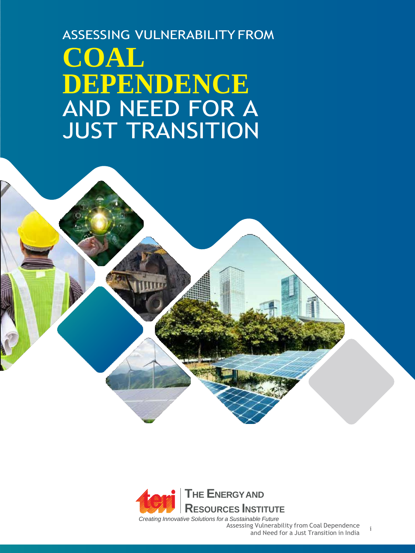ASSESSING VULNERABILITY FROM **COAL DEPENDENCE** AND NEED FOR A JUST TRANSITION



Assessing Vulnerability from Coal Dependence<br>and Need for a Just Transition in India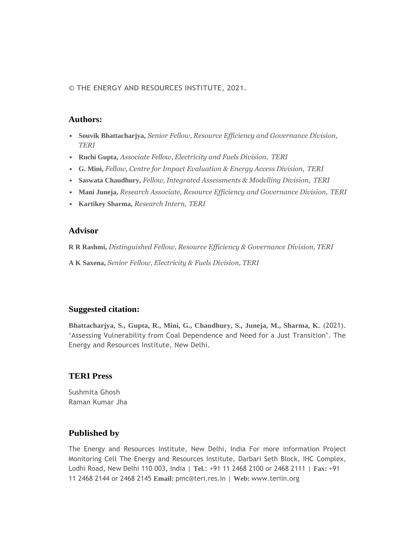© THE ENERGY AND RESOURCES INSTITUTE, 2021.

#### **Authors:**

- **Souvik Bhattacharjya,** *Senior Fellow, Resource Efficiency and Governance Division, TERI*
- **Ruchi Gupta,** *Associate Fellow, Electricity and Fuels Division, TERI*
- **G. Mini,** *Fellow, Centre for Impact Evaluation & Energy Access Division, TERI*
- **Saswata Chaudhury,** *Fellow, Integrated Assessments & Modelling Division, TERI*
- **Mani Juneja,** *Research Associate, Resource Efficiency and Governance Division, TERI*
- **Kartikey Sharma,** *Research Intern, TERI*

#### **Advisor**

**R R Rashmi,** *Distinguished Fellow, Resource Efficiency & Governance Division, TERI*

**A K Saxena,** *Senior Fellow, Electricity & Fuels Division, TERI*

#### **Suggested citation:**

**Bhattacharjya, S., Gupta, R., Mini, G., Chaudhury, S., Juneja, M., Sharma, K.** (2021). 'Assessing Vulnerability from Coal Dependence and Need for a Just Transition'. The Energy and Resources Institute, New Delhi.

#### **TERI Press**

Sushmita Ghosh Raman Kumar Jha

#### **Published by**

The Energy and Resources Institute, New Delhi, India For more information Project Monitoring Cell The Energy and Resources Institute, Darbari Seth Block, IHC Complex, Lodhi Road, New Delhi 110 003, India | **Tel.**: +91 11 2468 2100 or 2468 2111 | **Fax:** +91 11 2468 2144 or 2468 2145 **Email:** [pmc@teri.res.in |](mailto:pmc@teri.res.in) **Web:** [www.teriin.org](http://www.teriin.org/)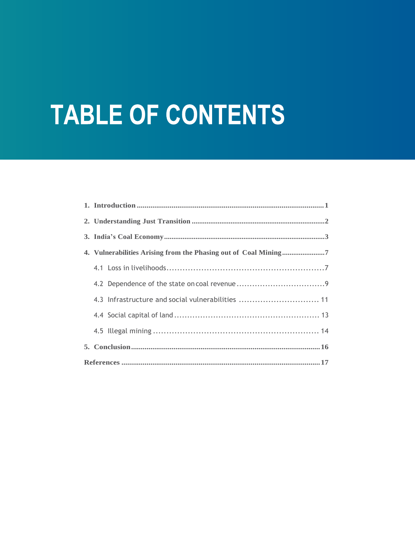# **TABLE OF CONTENTS**

| 4.3 Infrastructure and social vulnerabilities  11 |  |  |  |  |  |  |  |
|---------------------------------------------------|--|--|--|--|--|--|--|
|                                                   |  |  |  |  |  |  |  |
|                                                   |  |  |  |  |  |  |  |
|                                                   |  |  |  |  |  |  |  |
|                                                   |  |  |  |  |  |  |  |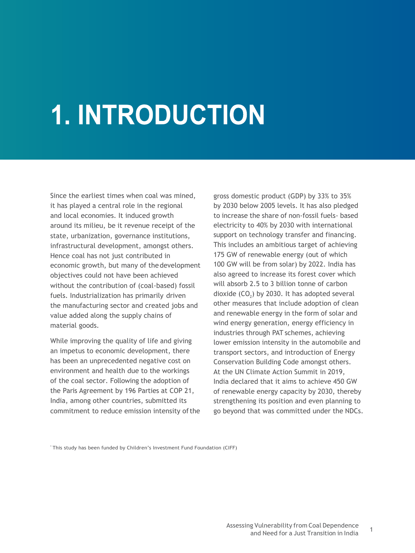# 1. INTRODUCTION

Since the earliest times when coal was mined, it has played a central role in the regional and local economies. It induced growth around its milieu, be it revenue receipt of the state, urbanization, governance institutions, infrastructural development, amongst others. Hence coal has not just contributed in economic growth, but many of thedevelopment objectives could not have been achieved without the contribution of (coal-based) fossil fuels. Industrialization has primarily driven the manufacturing sector and created jobs and value added along the supply chains of material goods.

While improving the quality of life and giving an impetus to economic development, there has been an unprecedented negative cost on environment and health due to the workings of the coal sector. Following the adoption of the Paris Agreement by 196 Parties at COP 21, India, among other countries, submitted its commitment to reduce emission intensity of the

gross domestic product (GDP) by 33% to 35% by 2030 below 2005 levels. It has also pledged to increase the share of non-fossil fuels- based electricity to 40% by 2030 with international support on technology transfer and financing. This includes an ambitious target of achieving 175 GW of renewable energy (out of which 100 GW will be from solar) by 2022. India has also agreed to increase its forest cover which will absorb 2.5 to 3 billion tonne of carbon dioxide  $(CO_2)$  by 2030. It has adopted several other measures that include adoption of clean and renewable energy in the form of solar and wind energy generation, energy efficiency in industries through PAT schemes, achieving lower emission intensity in the automobile and transport sectors, and introduction of Energy Conservation Building Code amongst others. At the UN Climate Action Summit in 2019, India declared that it aims to achieve 450 GW of renewable energy capacity by 2030, thereby strengthening its position and even planning to go beyond that was committed under the NDCs.

\* This study has been funded by Children's Investment Fund Foundation (CIFF)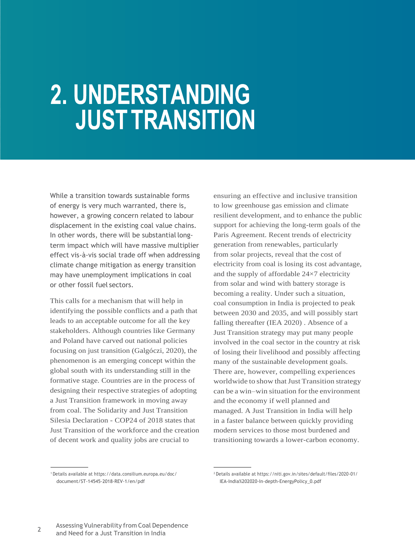## 2. UNDERSTANDING **JUST TRANSITION**

While a transition towards sustainable forms of energy is very much warranted, there is, however, a growing concern related to labour displacement in the existing coal value chains. In other words, there will be substantial longterm impact which will have massive multiplier effect vis-à-vis social trade off when addressing climate change mitigation as energy transition may have unemployment implications in coal or other fossil fuel sectors.

This calls for a mechanism that will help in identifying the possible conflicts and a path that leads to an acceptable outcome for all the key stakeholders. Although countries like Germany and Poland have carved out national policies focusing on just transition (Galgóczi, 2020), the phenomenon is an emerging concept within the global south with its understanding still in the formative stage. Countries are in the process of designing their respective strategies of adopting a Just Transition framework in moving away from coal. The Solidarity and Just Transition Silesia Declaration - COP24 of 2018 states that Just Transition of the workforce and the creation of decent work and quality jobs are crucial to

ensuring an effective and inclusive transition to low greenhouse gas emission and climate resilient development, and to enhance the public support for achieving the long-term goals of the Paris Agreement. Recent trends of electricity generation from renewables, particularly from solar projects, reveal that the cost of electricity from coal is losing its cost advantage, and the supply of affordable 24×7 electricity from solar and wind with battery storage is becoming a reality. Under such a situation, coal consumption in India is projected to peak between 2030 and 2035, and will possibly start falling thereafter (IEA 2020) . Absence of a Just Transition strategy may put many people involved in the coal sector in the country at risk of losing their livelihood and possibly affecting many of the sustainable development goals. There are, however, compelling experiences worldwide to show that Just Transition strategy can be a win–win situation for the environment and the economy if well planned and managed. A Just Transition in India will help in a faster balance between quickly providing modern services to those most burdened and transitioning towards a lower-carbon economy.

<sup>1</sup>Details available at https://data.consilium.europa.eu/doc/ document/ST-14545-2018-REV-1/en/pdf

<sup>2</sup>Details available at https://niti.gov.in/sites/default/files/2020-01/ IEA-India%202020-In-depth-EnergyPolicy\_0.pdf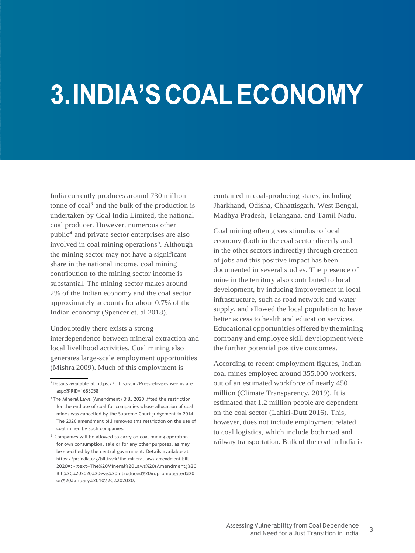## **3. INDIA'S COAL ECONOMY**

India currently produces around 730 million tonne of coal<sup>3</sup> and the bulk of the production is undertaken by Coal India Limited, the national coal producer. However, numerous other public<sup>4</sup> and private sector enterprises are also involved in coal mining operations<sup>5</sup>. Although the mining sector may not have a significant share in the national income, coal mining contribution to the mining sector income is substantial. The mining sector makes around 2% of the Indian economy and the coal sector approximately accounts for about 0.7% of the Indian economy (Spencer et. al 2018).

Undoubtedly there exists a strong interdependence between mineral extraction and local livelihood activities. Coal mining also generates large-scale employment opportunities (Mishra 2009). Much of this employment is

contained in coal-producing states, including Jharkhand, Odisha, Chhattisgarh, West Bengal, Madhya Pradesh, Telangana, and Tamil Nadu.

Coal mining often gives stimulus to local economy (both in the coal sector directly and in the other sectors indirectly) through creation of jobs and this positive impact has been documented in several studies. The presence of mine in the territory also contributed to local development, by inducing improvement in local infrastructure, such as road network and water supply, and allowed the local population to have better access to health and education services. Educational opportunities offered by themining company and employee skill development were the further potential positive outcomes.

According to recent employment figures, Indian coal mines employed around 355,000 workers, out of an estimated workforce of nearly 450 million (Climate Transparency, 2019). It is estimated that 1.2 million people are dependent on the coal sector (Lahiri-Dutt 2016). This, however, does not include employment related to coal logistics, which include both road and railway transportation. Bulk of the coal in India is

<sup>3</sup>Details available at https://pib.gov.in/Pressreleaseshseems are. aspx?PRID=1685058

<sup>4</sup>The Mineral Laws (Amendment) Bill, 2020 lifted the restriction for the end use of coal for companies whose allocation of coal mines was cancelled by the Supreme Court judgement in 2014. The 2020 amendment bill removes this restriction on the use of coal mined by such companies.

<sup>&</sup>lt;sup>5</sup> Companies will be allowed to carry on coal mining operation for own consumption, sale or for any other purposes, as may be specified by the central government. Details available at https://prsindia.org/billtrack/the-mineral-laws-amendment-bill-2020#:~:text=The%20Mineral%20Laws%20(Amendment)%20 Bill%2C%202020%20was%20introduced%20in,promulgated%20 on%20January%2010%2C%202020.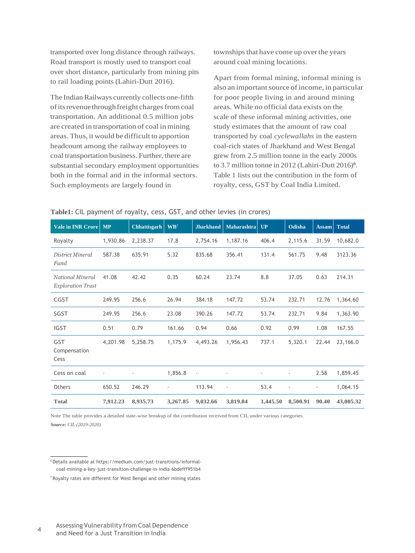transported over long distance through railways. Road transport is mostly used to transport coal over short distance, particularly from mining pits to rail loading points (Lahiri-Dutt 2016).

The Indian Railways currently collects one-fifth of its revenue through freight charges from coal transportation. An additional 0.5 million jobs are created in transportation of coal in mining areas. Thus, it would be difficult to apportion headcount among the railway employees to coal transportation business. Further, there are substantial secondary employment opportunities both in the formal and in the informal sectors. Such employments are largely found in

townships that have come up over the years around coal mining locations.

Apart from formal mining, informal mining is also an important source of income, in particular for poor people living in and around mining areas. While no official data exists on the scale of these informal mining activities, one study estimates that the amount of raw coal transported by coal *cyclewallahs* in the eastern coal-rich states of Jharkhand and West Bengal grew from 2.5 million tonne in the early 2000s to 3.7 million tonne in 2012 (Lahiri-Dutt  $2016$ <sup>6</sup>. Table 1 lists out the contribution in the form of royalty, cess, GST by Coal India Limited.

| <b>Vale in INR Crore</b>                     | <b>MP</b> | Chhattisgarh | $\mathbf{W}\mathbf{B}^7$ | <b>Jharkhand</b>         | <b>Maharashtra</b>       | UP       | <b>Odisha</b>  | <b>Assam</b>             | <b>Total</b> |
|----------------------------------------------|-----------|--------------|--------------------------|--------------------------|--------------------------|----------|----------------|--------------------------|--------------|
| Royalty                                      | 1,930.86  | 2,238.37     | 17.8                     | 2,754.16                 | 1,187.16                 | 406.4    | 2,115.6        | 31.59                    | 10,682.0     |
| District Mineral<br>Fund                     | 587.38    | 635.91       | 5.32                     | 835.68                   | 356.41                   | 131.4    | 561.75         | 9.48                     | 3123.36      |
| National Mineral<br><b>Exploration Trust</b> | 41.08     | 42.42        | 0.35                     | 60.24                    | 23.74                    | 8.8      | 37.05          | 0.63                     | 214.31       |
| CGST                                         | 249.95    | 256.6        | 26.94                    | 384.18                   | 147.72                   | 53.74    | 232.71         | 12.76                    | 1,364.60     |
| SGST                                         | 249.95    | 256.6        | 23.08                    | 390.26                   | 147.72                   | 53.74    | 232.71         | 9.84                     | 1,363.90     |
| <b>IGST</b>                                  | 0.51      | 0.79         | 161.66                   | 0.94                     | 0.66                     | 0.92     | 0.99           | 1.08                     | 167.55       |
| GST<br>Compensation<br>Cess                  | 4,201.98  | 5,258.75     | 1,175.9                  | 4,493.26                 | 1,956.43                 | 737.1    | 5,320.1        | 22.44                    | 23,166.0     |
| Cess on coal                                 |           |              | 1,856.8                  | $\overline{\phantom{a}}$ |                          | ٠        |                | 2.58                     | 1,859.45     |
| Others                                       | 650.52    | 246.29       | $\overline{\phantom{a}}$ | 113.94                   | $\overline{\phantom{a}}$ | 53.4     | $\overline{a}$ | $\overline{\phantom{a}}$ | 1,064.15     |
| <b>Total</b>                                 | 7,912.23  | 8,935.73     | 3,267.85                 | 9,032.66                 | 3,819.84                 | 1,445.50 | 8,500.91       | 90.40                    | 43,005.32    |

#### **Table1:** CIL payment of royalty, cess, GST, and other levies (in crores)

Note The table provides a detailed state-wise breakup of the contribution received from CIL under various categories. *Source: CIL (2019-2020)*

<sup>6</sup> Details available at https://medium.com/just-transitions/informalcoal-mining-a-key-just-transition-challenge-in-india-6bdefff951b4

<sup>7</sup> Royalty rates are different for West Bengal and other mining states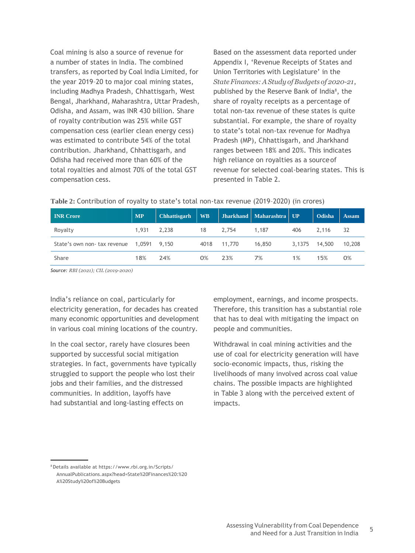Coal mining is also a source of revenue for a number of states in India. The combined transfers, as reported by Coal India Limited, for the year 2019–20 to major coal mining states, including Madhya Pradesh, Chhattisgarh, West Bengal, Jharkhand, Maharashtra, Uttar Pradesh, Odisha, and Assam, was INR 430 billion. Share of royalty contribution was 25% while GST compensation cess (earlier clean energy cess) was estimated to contribute 54% of the total contribution. Jharkhand, Chhattisgarh, and Odisha had received more than 60% of the total royalties and almost 70% of the total GST compensation cess.

Based on the assessment data reported under Appendix I, 'Revenue Receipts of States and Union Territories with Legislature' in the *StateFinances:AStudy ofBudgets of 2020-21*, published by the Reserve Bank of India<sup>8</sup>, the share of royalty receipts as a percentage of total non-tax revenue of these states is quite substantial. For example, the share of royalty to state's total non-tax revenue for Madhya Pradesh (MP), Chhattisgarh, and Jharkhand ranges between 18% and 20%. This indicates high reliance on royalties as a sourceof revenue for selected coal-bearing states. This is presented in Table 2.

| <b>INR Crore</b>             | <b>MP</b>    | <b>Chhattisgarh</b> | <b>WB</b> |        | Jharkhand   Maharashtra   UP |        | Odisha | <b>Assam</b> |
|------------------------------|--------------|---------------------|-----------|--------|------------------------------|--------|--------|--------------|
| Royalty                      | 1.931        | 2,238               | 18        | 2,754  | 1,187                        | 406    | 2.116  | -32          |
| State's own non- tax revenue | 1,0591 9,150 |                     | 4018      | 11.770 | 16,850                       | 3.1375 | 14,500 | 10,208       |
| Share                        | 18%          | 24%                 | 0%        | 23%    | 7%                           | 1%     | 15%    | 0%           |

**Table 2:** Contribution of royalty to state's total non-tax revenue (2019–2020) (in crores)

*Source: RBI (2021); CIL (2019-2020)*

India's reliance on coal, particularly for electricity generation, for decades has created many economic opportunities and development in various coal mining locations of the country.

In the coal sector, rarely have closures been supported by successful social mitigation strategies. In fact, governments have typically struggled to support the people who lost their jobs and their families, and the distressed communities. In addition, layoffs have had substantial and long-lasting effects on

employment, earnings, and income prospects. Therefore, this transition has a substantial role that has to deal with mitigating the impact on people and communities.

Withdrawal in coal mining activities and the use of coal for electricity generation will have socio-economic impacts, thus, risking the livelihoods of many involved across coal value chains. The possible impacts are highlighted in Table 3 along with the perceived extent of impacts.

<sup>8</sup>Details available a[t https://www.](http://www.rbi.org.in/Scripts/)rbi.o[rg.in/Scripts/](http://www.rbi.org.in/Scripts/) AnnualPublications.aspx?head=State%20Finances%20:%20 A%20Study%20of%20Budgets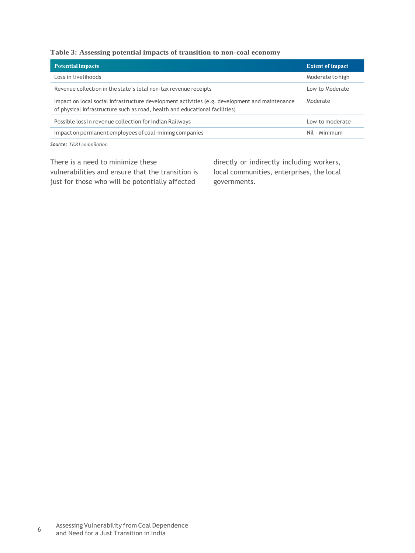#### **Table 3: Assessing potential impacts of transition to non-coal economy**

| <b>Potential impacts</b>                                                                                                                                                      | <b>Extent of impact</b> |
|-------------------------------------------------------------------------------------------------------------------------------------------------------------------------------|-------------------------|
| Loss in livelihoods                                                                                                                                                           | Moderate to high        |
| Revenue collection in the state's total non-tax revenue receipts                                                                                                              | Low to Moderate         |
| Impact on local social infrastructure development activities (e.g. development and maintenance<br>of physical infrastructure such as road, health and educational facilities) | Moderate                |
| Possible loss in revenue collection for Indian Railways                                                                                                                       | Low to moderate         |
| Impact on permanent employees of coal-mining companies                                                                                                                        | Nil - Minimum           |

*Source: TERI compilation*

There is a need to minimize these vulnerabilities and ensure that the transition is just for those who will be potentially affected

directly or indirectly including workers, local communities, enterprises, the local governments.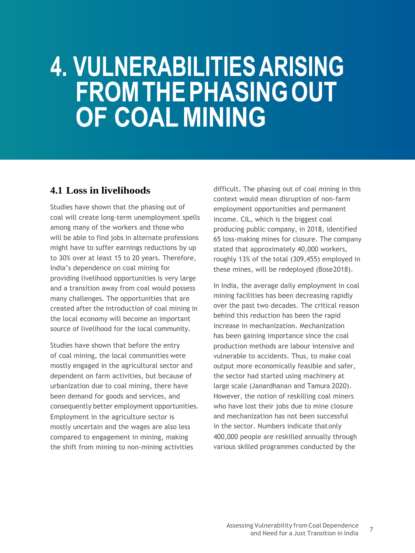### 4. VULNERABILITIES ARISING **FROM THE PHASING OUT** OF COAL MINING

### <span id="page-10-0"></span>**4.1 Loss in livelihoods**

Studies have shown that the phasing out of coal will create long-term unemployment spells among many of the workers and those who will be able to find jobs in alternate professions might have to suffer earnings reductions by up to 30% over at least 15 to 20 years. Therefore, India's dependence on coal mining for providing livelihood opportunities is very large and a transition away from coal would possess many challenges. The opportunities that are created after the introduction of coal mining in the local economy will become an important source of livelihood for the local community.

Studies have shown that before the entry of coal mining, the local communities were mostly engaged in the agricultural sector and dependent on farm activities, but because of urbanization due to coal mining, there have been demand for goods and services, and consequently better employment opportunities. Employment in the agriculture sector is mostly uncertain and the wages are also less compared to engagement in mining, making the shift from mining to non-mining activities

difficult. The phasing out of coal mining in this context would mean disruption of non-farm employment opportunities and permanent income. CIL, which is the biggest coal producing public company, in 2018, identified 65 loss-making mines for closure. The company stated that approximately 40,000 workers, roughly 13% of the total (309,455) employed in these mines, will be redeployed (Bose2018).

In India, the average daily employment in coal mining facilities has been decreasing rapidly over the past two decades. The critical reason behind this reduction has been the rapid increase in mechanization. Mechanization has been gaining importance since the coal production methods are labour intensive and vulnerable to accidents. Thus, to make coal output more economically feasible and safer, the sector had started using machinery at large scale (Janardhanan and Tamura 2020). However, the notion of reskilling coal miners who have lost their jobs due to mine closure and mechanization has not been successful in the sector. Numbers indicate thatonly 400,000 people are reskilled annually through various skilled programmes conducted by the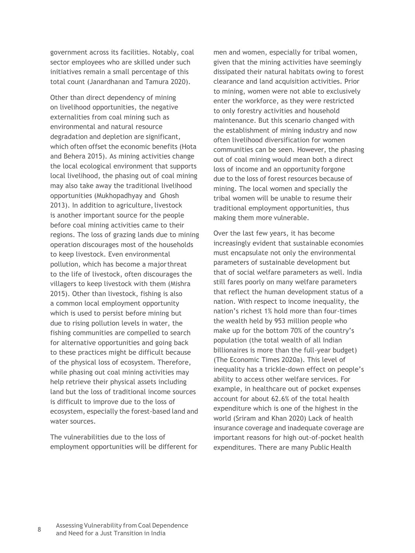government across its facilities. Notably, coal sector employees who are skilled under such initiatives remain a small percentage of this total count (Janardhanan and Tamura 2020).

Other than direct dependency of mining on livelihood opportunities, the negative externalities from coal mining such as environmental and natural resource degradation and depletion are significant, which often offset the economic benefits (Hota and Behera 2015). As mining activities change the local ecological environment that supports local livelihood, the phasing out of coal mining may also take away the traditional livelihood opportunities (Mukhopadhyay and Ghosh 2013). In addition to agriculture, livestock is another important source for the people before coal mining activities came to their regions. The loss of grazing lands due to mining operation discourages most of the households to keep livestock. Even environmental pollution, which has become a majorthreat to the life of livestock, often discourages the villagers to keep livestock with them (Mishra 2015). Other than livestock, fishing is also a common local employment opportunity which is used to persist before mining but due to rising pollution levels in water, the fishing communities are compelled to search for alternative opportunities and going back to these practices might be difficult because of the physical loss of ecosystem. Therefore, while phasing out coal mining activities may help retrieve their physical assets including land but the loss of traditional income sources is difficult to improve due to the loss of ecosystem, especially the forest-based land and water sources.

The vulnerabilities due to the loss of employment opportunities will be different for

men and women, especially for tribal women, given that the mining activities have seemingly dissipated their natural habitats owing to forest clearance and land acquisition activities. Prior to mining, women were not able to exclusively enter the workforce, as they were restricted to only forestry activities and household maintenance. But this scenario changed with the establishment of mining industry and now often livelihood diversification for women communities can be seen. However, the phasing out of coal mining would mean both a direct loss of income and an opportunity forgone due to the loss of forest resources because of mining. The local women and specially the tribal women will be unable to resume their traditional employment opportunities, thus making them more vulnerable.

Over the last few years, it has become increasingly evident that sustainable economies must encapsulate not only the environmental parameters of sustainable development but that of social welfare parameters as well. India still fares poorly on many welfare parameters that reflect the human development status of a nation. With respect to income inequality, the nation's richest 1% hold more than four-times the wealth held by 953 million people who make up for the bottom 70% of the country's population (the total wealth of all Indian billionaires is more than the full-year budget) (The Economic Times 2020a). This level of inequality has a trickle-down effect on people's ability to access other welfare services. For example, in healthcare out of pocket expenses account for about 62.6% of the total health expenditure which is one of the highest in the world (Sriram and Khan 2020) Lack of health insurance coverage and inadequate coverage are important reasons for high out-of-pocket health expenditures. There are many Public Health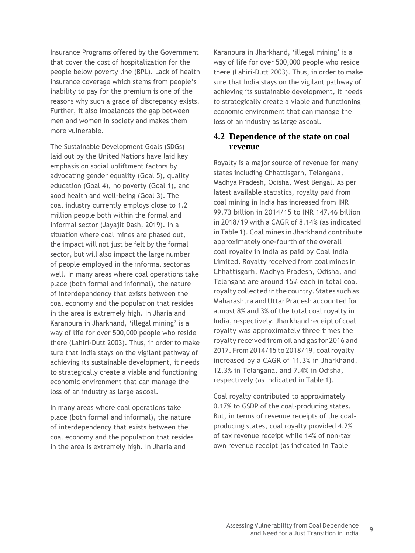Insurance Programs offered by the Government that cover the cost of hospitalization for the people below poverty line (BPL). Lack of health insurance coverage which stems from people's inability to pay for the premium is one of the reasons why such a grade of discrepancy exists. Further, it also imbalances the gap between men and women in society and makes them more vulnerable.

The Sustainable Development Goals (SDGs) laid out by the United Nations have laid key emphasis on social upliftment factors by advocating gender equality (Goal 5), quality education (Goal 4), no poverty (Goal 1), and good health and well-being (Goal 3). The coal industry currently employs close to 1.2 million people both within the formal and informal sector (Jayajit Dash, 2019). In a situation where coal mines are phased out, the impact will not just be felt by the formal sector, but will also impact the large number of people employed in the informal sectoras well. In many areas where coal operations take place (both formal and informal), the nature of interdependency that exists between the coal economy and the population that resides in the area is extremely high. In Jharia and Karanpura in Jharkhand, 'illegal mining' is a way of life for over 500,000 people who reside there (Lahiri-Dutt 2003). Thus, in order to make sure that India stays on the vigilant pathway of achieving its sustainable development, it needs to strategically create a viable and functioning economic environment that can manage the loss of an industry as large ascoal.

In many areas where coal operations take place (both formal and informal), the nature of interdependency that exists between the coal economy and the population that resides in the area is extremely high. In Jharia and

Karanpura in Jharkhand, 'illegal mining' is a way of life for over 500,000 people who reside there (Lahiri-Dutt 2003). Thus, in order to make sure that India stays on the vigilant pathway of achieving its sustainable development, it needs to strategically create a viable and functioning economic environment that can manage the loss of an industry as large ascoal.

#### <span id="page-12-0"></span>**4.2 Dependence of the state on coal revenue**

Royalty is a major source of revenue for many states including Chhattisgarh, Telangana, Madhya Pradesh, Odisha, West Bengal. As per latest available statistics, royalty paid from coal mining in India has increased from INR 99.73 billion in 2014/15 to INR 147.46 billion in 2018/19 with a CAGR of 8.14% (as indicated in Table 1). Coal mines in Jharkhand contribute approximately one-fourth of the overall coal royalty in India as paid by Coal India Limited. Royalty received from coal mines in Chhattisgarh, Madhya Pradesh, Odisha, and Telangana are around 15% each in total coal royalty collected inthe country. States such as Maharashtra and Uttar Pradesh accounted for almost 8% and 3% of the total coal royalty in India, respectively. Jharkhand receipt of coal royalty was approximately three times the royalty received from oil and gas for 2016 and 2017. From 2014/15 to 2018/19, coalroyalty increased by a CAGR of 11.3% in Jharkhand, 12.3% in Telangana, and 7.4% in Odisha, respectively (as indicated in Table 1).

Coal royalty contributed to approximately 0.17% to GSDP of the coal-producing states. But, in terms of revenue receipts of the coalproducing states, coal royalty provided 4.2% of tax revenue receipt while 14% of non-tax own revenue receipt (as indicated in Table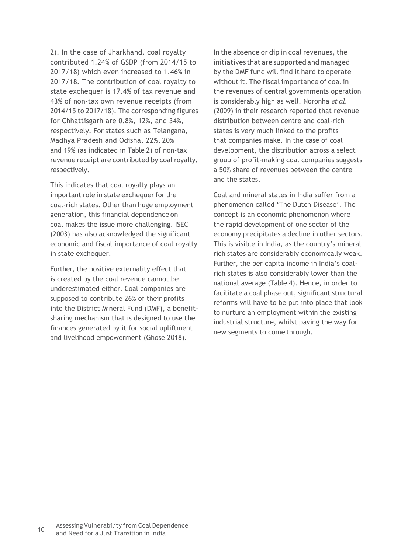2). In the case of Jharkhand, coal royalty contributed 1.24% of GSDP (from 2014/15 to 2017/18) which even increased to 1.46% in 2017/18. The contribution of coal royalty to state exchequer is 17.4% of tax revenue and 43% of non-tax own revenue receipts (from 2014/15 to 2017/18). The corresponding figures for Chhattisgarh are 0.8%, 12%, and 34%, respectively. For states such as Telangana, Madhya Pradesh and Odisha, 22%, 20% and 19% (as indicated in Table 2) of non-tax revenue receipt are contributed by coal royalty, respectively.

This indicates that coal royalty plays an important role in state exchequer for the coal-rich states. Other than huge employment generation, this financial dependence on coal makes the issue more challenging. ISEC (2003) has also acknowledged the significant economic and fiscal importance of coal royalty in state exchequer.

Further, the positive externality effect that is created by the coal revenue cannot be underestimated either. Coal companies are supposed to contribute 26% of their profits into the District Mineral Fund (DMF), a benefitsharing mechanism that is designed to use the finances generated by it for social upliftment and livelihood empowerment (Ghose 2018).

In the absence or dip in coal revenues, the initiatives that are supported and managed by the DMF fund will find it hard to operate without it. The fiscal importance of coal in the revenues of central governments operation is considerably high as well. Noronha *et al.*  (2009) in their research reported that revenue distribution between centre and coal-rich states is very much linked to the profits that companies make. In the case of coal development, the distribution across a select group of profit-making coal companies suggests a 50% share of revenues between the centre and the states.

Coal and mineral states in India suffer from a phenomenon called 'The Dutch Disease'. The concept is an economic phenomenon where the rapid development of one sector of the economy precipitates a decline in other sectors. This is visible in India, as the country's mineral rich states are considerably economically weak. Further, the per capita income in India's coalrich states is also considerably lower than the national average (Table 4). Hence, in order to facilitate a coal phase out, significant structural reforms will have to be put into place that look to nurture an employment within the existing industrial structure, whilst paving the way for new segments to come through.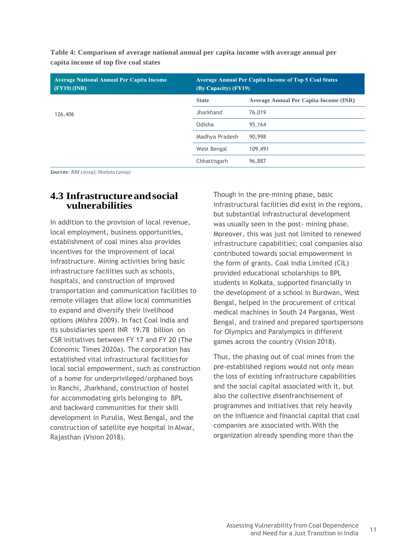| <b>Average National Annual Per Capita Income</b><br>$(FY19)$ (INR) | <b>Average Annual Per Capita Income of Top 5 Coal States</b><br>(By Capacity) (FY19) |                                        |  |  |  |
|--------------------------------------------------------------------|--------------------------------------------------------------------------------------|----------------------------------------|--|--|--|
|                                                                    | <b>State</b>                                                                         | Average Annual Per Capita Income (INR) |  |  |  |
| 126,406                                                            | Jharkhand                                                                            | 76,019                                 |  |  |  |
|                                                                    | Odisha                                                                               | 95,164                                 |  |  |  |
|                                                                    | Madhya Pradesh                                                                       | 90,998                                 |  |  |  |
|                                                                    | West Bengal                                                                          | 109,491                                |  |  |  |
|                                                                    | Chhattisgarh                                                                         | 96,887                                 |  |  |  |

**Table 4: Comparison of average national annual per capita income with average annual per capita income of top five coal states**

*Sources: RBI (2019); Statista (2019)*

#### <span id="page-14-0"></span>**4.3 Infrastructureandsocial vulnerabilities**

In addition to the provision of local revenue, local employment, business opportunities, establishment of coal mines also provides incentives for the improvement of local infrastructure. Mining activities bring basic infrastructure facilities such as schools, hospitals, and construction of improved transportation and communication facilities to remote villages that allow local communities to expand and diversify their livelihood options (Mishra 2009). In fact Coal India and its subsidiaries spent INR 19.78 billion on CSR initiatives between FY 17 and FY 20 (The Economic Times 2020a). The corporation has established vital infrastructural facilities for local social empowerment, such as construction of a home for underprivileged/orphaned boys in Ranchi, Jharkhand, construction of hostel for accommodating girls belonging to BPL and backward communities for their skill development in Purulia, West Bengal, and the construction of satellite eye hospital in Alwar, Rajasthan (Vision 2018).

Though in the pre-mining phase, basic infrastructural facilities did exist in the regions, but substantial infrastructural development was usually seen in the post- mining phase. Moreover, this was just not limited to renewed infrastructure capabilities; coal companies also contributed towards social empowerment in the form of grants. Coal India Limited (CIL) provided educational scholarships to BPL students in Kolkata, supported financially in the development of a school in Burdwan, West Bengal, helped in the procurement of critical medical machines in South 24 Parganas, West Bengal, and trained and prepared sportspersons for Olympics and Paralympics in different games across the country (Vision 2018).

Thus, the phasing out of coal mines from the pre-established regions would not only mean the loss of existing infrastructure capabilities and the social capital associated with it, but also the collective disenfranchisement of programmes and initiatives that rely heavily on the influence and financial capital that coal companies are associated with.With the organization already spending more than the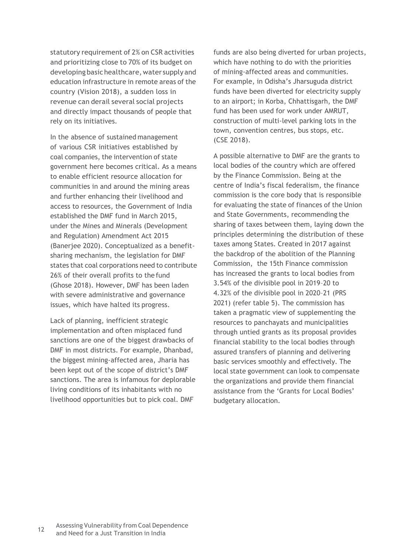statutory requirement of 2% on CSR activities and prioritizing close to 70% of its budget on developing basic healthcare, water supply and education infrastructure in remote areas of the country (Vision 2018), a sudden loss in revenue can derail several social projects and directly impact thousands of people that rely on its initiatives.

In the absence of sustained management of various CSR initiatives established by coal companies, the intervention of state government here becomes critical. As a means to enable efficient resource allocation for communities in and around the mining areas and further enhancing their livelihood and access to resources, the Government of India established the DMF fund in March 2015, under the Mines and Minerals (Development and Regulation) Amendment Act 2015 (Banerjee 2020). Conceptualized as a benefitsharing mechanism, the legislation for DMF states that coal corporations need to contribute 26% of their overall profits to the fund (Ghose 2018). However, DMF has been laden with severe administrative and governance issues, which have halted its progress.

Lack of planning, inefficient strategic implementation and often misplaced fund sanctions are one of the biggest drawbacks of DMF in most districts. For example, Dhanbad, the biggest mining-affected area, Jharia has been kept out of the scope of district's DMF sanctions. The area is infamous for deplorable living conditions of its inhabitants with no livelihood opportunities but to pick coal. DMF

funds are also being diverted for urban projects, which have nothing to do with the priorities of mining-affected areas and communities. For example, in Odisha's Jharsuguda district funds have been diverted for electricity supply to an airport; in Korba, Chhattisgarh, the DMF fund has been used for work under AMRUT, construction of multi-level parking lots in the town, convention centres, bus stops, etc. (CSE 2018).

A possible alternative to DMF are the grants to local bodies of the country which are offered by the Finance Commission. Being at the centre of India's fiscal federalism, the finance commission is the core body that is responsible for evaluating the state of finances of the Union and State Governments, recommending the sharing of taxes between them, laying down the principles determining the distribution of these taxes among States. Created in 2017 against the backdrop of the abolition of the Planning Commission, the 15th Finance commission has increased the grants to local bodies from 3.54% of the divisible pool in 2019–20 to 4.32% of the divisible pool in 2020–21 (PRS 2021) (refer table 5). The commission has taken a pragmatic view of supplementing the resources to panchayats and municipalities through untied grants as its proposal provides financial stability to the local bodies through assured transfers of planning and delivering basic services smoothly and effectively. The local state government can look to compensate the organizations and provide them financial assistance from the 'Grants for Local Bodies' budgetary allocation.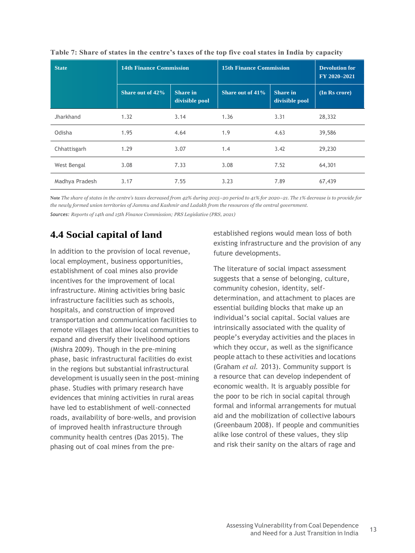| <b>State</b>   | <b>14th Finance Commission</b> |                                   | <b>15th Finance Commission</b> | <b>Devolution for</b><br>FY 2020-2021 |               |
|----------------|--------------------------------|-----------------------------------|--------------------------------|---------------------------------------|---------------|
|                | Share out of 42%               | <b>Share in</b><br>divisible pool | Share out of 41%               | <b>Share</b> in<br>divisible pool     | (In Rs crore) |
| Jharkhand      | 1.32                           | 3.14                              | 1.36                           | 3.31                                  | 28,332        |
| Odisha         | 1.95                           | 4.64                              | 1.9                            | 4.63                                  | 39,586        |
| Chhattisgarh   | 1.29                           | 3.07                              | 1.4                            | 3.42                                  | 29,230        |
| West Bengal    | 3.08                           | 7.33                              | 3.08                           | 7.52                                  | 64,301        |
| Madhya Pradesh | 3.17                           | 7.55                              | 3.23                           | 7.89                                  | 67,439        |

| Table 7: Share of states in the centre's taxes of the top five coal states in India by capacity |  |  |  |  |
|-------------------------------------------------------------------------------------------------|--|--|--|--|
|-------------------------------------------------------------------------------------------------|--|--|--|--|

**Note** *The share of states in the centre's taxes decreased from 42% during 2015–20 period to 41% for 2020–21. The 1% decrease is to provide for the newly formed union territories of Jammu and Kashmir and Ladakh from the resources of the central government.*

*Sources: Reports of 14th and 15th Finance Commission; PRS Legislative (PRS, 2021)*

### <span id="page-16-0"></span>**4.4 Social capital of land**

In addition to the provision of local revenue, local employment, business opportunities, establishment of coal mines also provide incentives for the improvement of local infrastructure. Mining activities bring basic infrastructure facilities such as schools, hospitals, and construction of improved transportation and communication facilities to remote villages that allow local communities to expand and diversify their livelihood options (Mishra 2009). Though in the pre-mining phase, basic infrastructural facilities do exist in the regions but substantial infrastructural development is usually seen in the post-mining phase. Studies with primary research have evidences that mining activities in rural areas have led to establishment of well-connected roads, availability of bore-wells, and provision of improved health infrastructure through community health centres (Das 2015). The phasing out of coal mines from the preestablished regions would mean loss of both existing infrastructure and the provision of any future developments.

The literature of social impact assessment suggests that a sense of belonging, culture, community cohesion, identity, selfdetermination, and attachment to places are essential building blocks that make up an individual's social capital. Social values are intrinsically associated with the quality of people's everyday activities and the places in which they occur, as well as the significance people attach to these activities and locations (Graham *et al.* 2013). Community support is a resource that can develop independent of economic wealth. It is arguably possible for the poor to be rich in social capital through formal and informal arrangements for mutual aid and the mobilization of collective labours (Greenbaum 2008). If people and communities alike lose control of these values, they slip and risk their sanity on the altars of rage and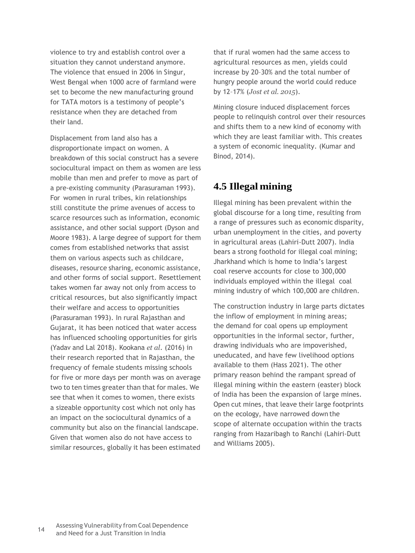violence to try and establish control over a situation they cannot understand anymore. The violence that ensued in 2006 in Singur, West Bengal when 1000 acre of farmland were set to become the new manufacturing ground for TATA motors is a testimony of people's resistance when they are detached from their land.

Displacement from land also has a disproportionate impact on women. A breakdown of this social construct has a severe sociocultural impact on them as women are less mobile than men and prefer to move as part of a pre-existing community (Parasuraman 1993). For women in rural tribes, kin relationships still constitute the prime avenues of access to scarce resources such as information, economic assistance, and other social support (Dyson and Moore 1983). A large degree of support for them comes from established networks that assist them on various aspects such as childcare, diseases, resource sharing, economic assistance, and other forms of social support. Resettlement takes women far away not only from access to critical resources, but also significantly impact their welfare and access to opportunities (Parasuraman 1993). In rural Rajasthan and Gujarat, it has been noticed that water access has influenced schooling opportunities for girls (Yadav and Lal 2018). Kookana *et al*. (2016) in their research reported that in Rajasthan, the frequency of female students missing schools for five or more days per month was on average two to ten times greater than that for males. We see that when it comes to women, there exists a sizeable opportunity cost which not only has an impact on the sociocultural dynamics of a community but also on the financial landscape. Given that women also do not have access to similar resources, globally it has been estimated

that if rural women had the same access to agricultural resources as men, yields could increase by 20–30% and the total number of hungry people around the world could reduce by 12–17% (*Jost et al. 2015*).

Mining closure induced displacement forces people to relinquish control over their resources and shifts them to a new kind of economy with which they are least familiar with. This creates a system of economic inequality. (Kumar and Binod, 2014).

### <span id="page-17-0"></span>**4.5 Illegal mining**

Illegal mining has been prevalent within the global discourse for a long time, resulting from a range of pressures such as economic disparity, urban unemployment in the cities, and poverty in agricultural areas (Lahiri-Dutt 2007). India bears a strong foothold for illegal coal mining; Jharkhand which is home to India's largest coal reserve accounts for close to 300,000 individuals employed within the illegal coal mining industry of which 100,000 are children.

The construction industry in large parts dictates the inflow of employment in mining areas; the demand for coal opens up employment opportunities in the informal sector, further, drawing individuals who are impoverished, uneducated, and have few livelihood options available to them (Hass 2021). The other primary reason behind the rampant spread of illegal mining within the eastern (easter) block of India has been the expansion of large mines. Open cut mines, that leave their large footprints on the ecology, have narrowed down the scope of alternate occupation within the tracts ranging from Hazaribagh to Ranchi (Lahiri-Dutt and Williams 2005).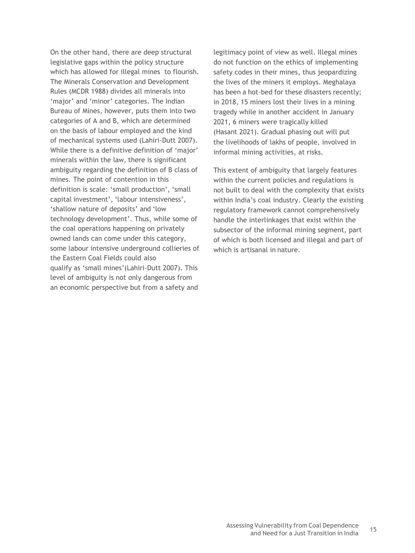On the other hand, there are deep structural legislative gaps within the policy structure which has allowed for illegal mines to flourish. The Minerals Conservation and Development Rules (MCDR 1988) divides all minerals into 'major' and 'minor' categories. The Indian Bureau of Mines, however, puts them into two categories of A and B, which are determined on the basis of labour employed and the kind of mechanical systems used (Lahiri-Dutt 2007). While there is a definitive definition of 'major' minerals within the law, there is significant ambiguity regarding the definition of B class of mines. The point of contention in this definition is scale: 'small production', 'small capital investment', 'labour intensiveness', 'shallow nature of deposits' and 'low technology development'. Thus, while some of the coal operations happening on privately owned lands can come under this category, some labour intensive underground collieries of the Eastern Coal Fields could also qualify as 'small mines'(Lahiri-Dutt 2007). This level of ambiguity is not only dangerous from an economic perspective but from a safety and

legitimacy point of view as well. Illegal mines do not function on the ethics of implementing safety codes in their mines, thus jeopardizing the lives of the miners it employs. Meghalaya has been a hot-bed for these disasters recently; in 2018, 15 miners lost their lives in a mining tragedy while in another accident in January 2021, 6 miners were tragically killed (Hasant 2021). Gradual phasing out will put the livelihoods of lakhs of people, involved in informal mining activities, at risks.

This extent of ambiguity that largely features within the current policies and regulations is not built to deal with the complexity that exists within India's coal industry. Clearly the existing regulatory framework cannot comprehensively handle the interlinkages that exist within the subsector of the informal mining segment, part of which is both licensed and illegal and part of which is artisanal in nature.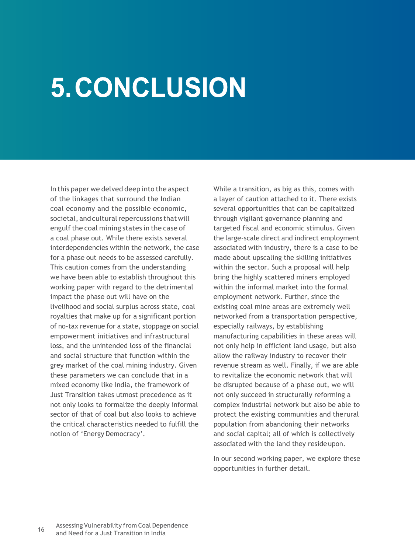## **5. CONCLUSION**

In this paper we delved deep into the aspect of the linkages that surround the Indian coal economy and the possible economic, societal, and cultural repercussions that will engulf the coal mining states in the case of a coal phase out. While there exists several interdependencies within the network, the case for a phase out needs to be assessed carefully. This caution comes from the understanding we have been able to establish throughout this working paper with regard to the detrimental impact the phase out will have on the livelihood and social surplus across state, coal royalties that make up for a significant portion of no-tax revenue for a state, stoppage on social empowerment initiatives and infrastructural loss, and the unintended loss of the financial and social structure that function within the grey market of the coal mining industry. Given these parameters we can conclude that in a mixed economy like India, the framework of Just Transition takes utmost precedence as it not only looks to formalize the deeply informal sector of that of coal but also looks to achieve the critical characteristics needed to fulfill the notion of 'Energy Democracy'.

While a transition, as big as this, comes with a layer of caution attached to it. There exists several opportunities that can be capitalized through vigilant governance planning and targeted fiscal and economic stimulus. Given the large-scale direct and indirect employment associated with industry, there is a case to be made about upscaling the skilling initiatives within the sector. Such a proposal will help bring the highly scattered miners employed within the informal market into the formal employment network. Further, since the existing coal mine areas are extremely well networked from a transportation perspective, especially railways, by establishing manufacturing capabilities in these areas will not only help in efficient land usage, but also allow the railway industry to recover their revenue stream as well. Finally, if we are able to revitalize the economic network that will be disrupted because of a phase out, we will not only succeed in structurally reforming a complex industrial network but also be able to protect the existing communities and therural population from abandoning their networks and social capital; all of which is collectively associated with the land they resideupon.

In our second working paper, we explore these opportunities in further detail.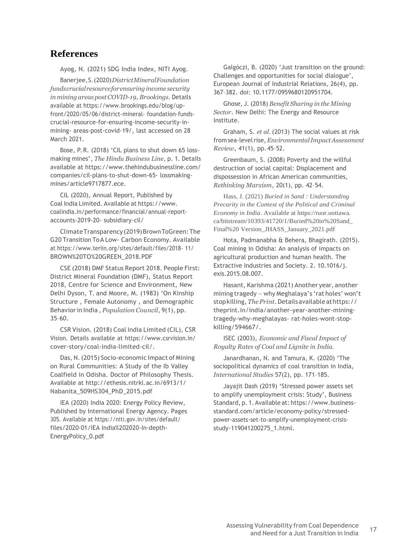#### <span id="page-20-0"></span>**References**

Ayog, N. (2021) SDG India Index, NITI Ayog.

Banerjee,S.(2020)*DistrictMineralFoundation fundscrucialresourceforensuring income security inmining areas postCOVID-19*, *Brookings*. Details available at [https://www.brookings.edu/blog/up](http://www.brookings.edu/blog/up-)front/2020/05/06/district-mineral- foundation-fundscrucial-resource-for-ensuring-income-security-inmining- areas-post-covid-19/, last accessed on 28 March 2021.

Bose, P. R. (2018) 'CIL plans to shut down 65 lossmaking mines', *The Hindu Business Line*, p. 1. Details available at [https://www.thehindubusinessline.com/](http://www.thehindubusinessline.com/) companies/cil-plans-to-shut-down-65- lossmakingmines/article9717877.ece.

CIL (2020), Annual Report, Published by Coal India Limited. Available at [https://www.](http://www/) coalindia.in/performance/financial/annual-reportaccounts-2019-20- subsidiary-cil/

ClimateTransparency(2019)BrownToGreen:The G20 Transition ToA Low- Carbon Economy. Available at [https://www.teriin.org/sites/default/files/2018-](http://www.teriin.org/sites/default/files/2018-) 11/ BROWN%20TO%20GREEN\_2018.PDF

CSE (2018) DMF Status Report 2018. People First: District Mineral Foundation (DMF), Status Report 2018, Centre for Science and Environment, New Delhi Dyson, T. and Moore, M. (1983) 'On Kinship Structure , Female Autonomy , and Demographic Behaviorin India , *Population Council*, 9(1), pp. 35–60.

CSR Vision. (2018) Coal India Limited (CIL), CSR Vision. Details available at [https://www.csrvision.in/](http://www.csrvision.in/) cover-story/coal-india-limited-cil/.

Das, N.(2015) Socio-economic Impact of Mining on Rural Communities: A Study of the Ib Valley Coalfield in Odisha. Doctor of Philosophy Thesis. Available at<http://ethesis.nitrkl.ac.in/6913/1/> Nabanita\_509HS304\_PhD\_2015.pdf

IEA (2020) India 2020: Energy Policy Review, Published by International Energy Agency. Pages 305. Available at https://niti.gov.in/sites/default/ files/2020-01/IEA India%202020-In-depth-EnergyPolicy\_0.pdf

Galgóczi, B. (2020) 'Just transition on the ground: Challenges and opportunities for social dialogue', European Journal of Industrial Relations, 26(4), pp. 367–382. doi: 10.1177/0959680120951704.

Ghose, J. (2018) *Benefit Sharing in the Mining Sector*. New Delhi: The Energy and Resource Institute.

Graham, S. *et al.* (2013) The social values at risk from sea-level rise, *Environmental Impact Assessment Review*, 41(1), pp.45–52.

Greenbaum, S. (2008) Poverty and the willful destruction of social capital: Displacement and dispossession in African American communities, *Rethinking Marxism*, 20(1), pp. 42–54.

Hass, J. (2021) *Buried in Sand : Understanding Precarity in the Context of the Political and Criminal Economy in India*. Available at https://ruor.uottawa. ca/bitstream/10393/41720/1/Buried%20in%20Sand\_ Final%20 Version\_JHASS\_January\_2021.pdf

Hota, Padmanabha & Behera, Bhagirath. (2015). Coal mining in Odisha: An analysis of impacts on agricultural production and human health. The Extractive Industries and Society. 2. 10.1016/j. exis.2015.08.007.

Hasant, Karishma (2021) Another year, another mining tragedy — why Meghalaya's 'rat holes' won't stopkilling,*ThePrint*.Details availableathttps:// theprint.in/india/another-year-another-miningtragedy-why-meghalayas- rat-holes-wont-stopkilling/594667/.

ISEC (2003), *Economic and Fiscal Impact of Royalty Rates of Coal and Lignite in India.*

Janardhanan, N. and Tamura, K. (2020) 'The sociopolitical dynamics of coal transition in India, *International Studies* 57(2), pp. 171–185.

Jayajit Dash (2019) 'Stressed power assets set to amplify unemployment crisis: Study', Business Standard, p. 1.Available at: https://www.businessstandard.com/article/economy-policy/stressedpower-assets-set-to-amplify-unemployment-crisisstudy-119041200275\_1.html.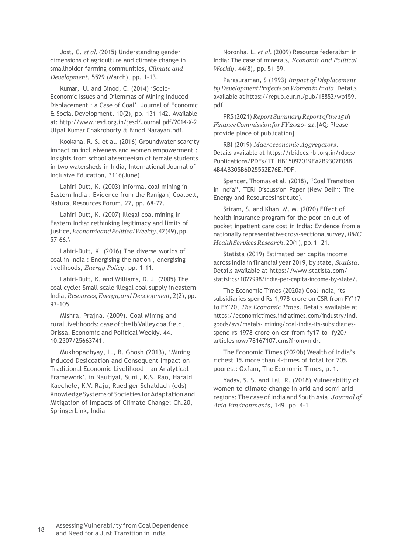Jost, C. *et al.* (2015) Understanding gender dimensions of agriculture and climate change in smallholder farming communities, *Climate and Development*, 5529 (March), pp. 1–13.

Kumar, U. and Binod, C. (2014) 'Socio-Economic Issues and Dilemmas of Mining Induced Displacement : a Case of Coal', Journal of Economic & Social Development, 10(2), pp. 131–142. Available at: [http://www.iesd.org.in/jesd/Journal p](http://www.iesd.org.in/jesd/Journal)df/2014-X-2 Utpal Kumar Chakroborty & Binod Narayan.pdf.

Kookana, R. S. et al. (2016) Groundwater scarcity impact on inclusiveness and women empowerment : Insights from school absenteeism of female students in two watersheds in India, International Journal of Inclusive Education, 3116(June).

Lahiri-Dutt, K. (2003) Informal coal mining in Eastern India : Evidence from the Raniganj Coalbelt, Natural Resources Forum, 27, pp. 68–77.

Lahiri-Dutt, K. (2007) Illegal coal mining in Eastern India: rethinking legitimacy and limits of justice,*EconomicandPoliticalWeekly*,42(49),pp.  $57-66.$ 

Lahiri-Dutt, K. (2016) The diverse worlds of coal in India : Energising the nation , energising livelihoods, *Energy Policy*, pp. 1–11.

Lahiri-Dutt, K. and Williams, D. J. (2005) The coal cycle: Small-scale illegal coal supply in eastern India, *Resources,Energy,andDevelopment*, 2(2), pp. 93–105.

Mishra, Prajna. (2009). Coal Mining and rural livelihoods: case of the Ib Valley coalfield, Orissa. Economic and Political Weekly. 44. 10.2307/25663741.

Mukhopadhyay, L., B. Ghosh (2013), 'Mining induced Desiccation and Consequent Impact on Traditional Economic Livelihood - an Analytical Framework', in Nautiyal, Sunil, K.S. Rao, Harald Kaechele, K.V. Raju, Ruediger Schaldach (eds) KnowledgeSystems of Societies for Adaptation and Mitigation of Impacts of Climate Change; Ch.20, SpringerLink, India

Noronha, L. *et al.* (2009) Resource federalism in India: The case of minerals, *Economic and Political Weekly*, 44(8), pp. 51–59.

Parasuraman, S (1993) *Impact of Displacement byDevelopmentProjectsonWomenin India*. Details available at https://repub.eur.nl/pub/18852/wp159. pdf.

PRS(2021) *ReportSummaryReportofthe 15th FinanceCommissionforFY2020- 21*.[AQ: Please provide place of publication]

RBI (2019) *Macroeconomic Aggregators*. Details available at https://rbidocs.rbi.org.in/rdocs/ Publications/PDFs/1T\_HB15092019EA2B9307F08B 4B4AB305B6D25552E76E.PDF.

Spencer, Thomas et al. (2018), "Coal Transition in India", TERI Discussion Paper (New Delhi: The Energy and ResourcesInstitute).

Sriram, S. and Khan, M. M. (2020) Effect of health insurance program for the poor on out-ofpocket inpatient care cost in India: Evidence from a nationally representativecross-sectionalsurvey,*BMC HealthServicesResearch*,20(1),pp.1– 21.

Statista (2019) Estimated per capita income across India in financial year 2019, by state, *Statista*. Details available at [https://www.statista.com/](http://www.statista.com/) statistics/1027998/india-per-capita-income-by-state/.

The Economic Times (2020a) Coal India, its subsidiaries spend Rs 1,978 crore on CSR from FY'17 to FY'20, *The Economic Times*. Details available at https://economictimes.indiatimes.com/industry/indlgoods/svs/metals- mining/coal-india-its-subsidiariesspend-rs-1978-crore-on-csr-from-fy17-to- fy20/ articleshow/78167107.cms?from=mdr.

The Economic Times (2020b) Wealth of India's richest 1% more than 4-times of total for 70% poorest: Oxfam, The Economic Times, p. 1.

Yadav, S. S. and Lal, R. (2018) Vulnerability of women to climate change in arid and semi-arid regions: The case of India and South Asia, *Journal of Arid Environments*, 149, pp. 4–1